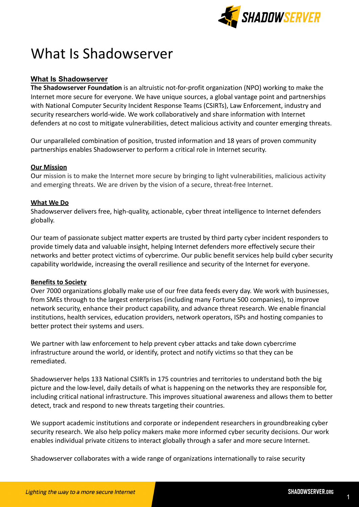

# What Is Shadowserver

# **What Is Shadowserver**

**The Shadowserver Foundation** is an altruistic not-for-profit organization (NPO) working to make the Internet more secure for everyone. We have unique sources, a global vantage point and partnerships with National Computer Security Incident Response Teams (CSIRTs), Law Enforcement, industry and security researchers world-wide. We work collaboratively and share information with Internet defenders at no cost to mitigate vulnerabilities, detect malicious activity and counter emerging threats.

Our unparalleled combination of position, trusted information and 18 years of proven community partnerships enables Shadowserver to perform a critical role in Internet security.

# **Our Mission**

Our mission is to make the Internet more secure by bringing to light vulnerabilities, malicious activity and emerging threats. We are driven by the vision of a secure, threat-free Internet.

# **What We Do**

Shadowserver delivers free, high-quality, actionable, cyber threat intelligence to Internet defenders globally.

Our team of passionate subject matter experts are trusted by third party cyber incident responders to provide timely data and valuable insight, helping Internet defenders more effectively secure their networks and better protect victims of cybercrime. Our public benefit services help build cyber security capability worldwide, increasing the overall resilience and security of the Internet for everyone.

# **Benefits to Society**

Over 7000 organizations globally make use of our free data feeds every day. We work with businesses, from SMEs through to the largest enterprises (including many Fortune 500 companies), to improve network security, enhance their product capability, and advance threat research. We enable financial institutions, health services, education providers, network operators, ISPs and hosting companies to better protect their systems and users.

We partner with law enforcement to help prevent cyber attacks and take down cybercrime infrastructure around the world, or identify, protect and notify victims so that they can be remediated.

Shadowserver helps 133 National CSIRTs in 175 countries and territories to understand both the big picture and the low-level, daily details of what is happening on the networks they are responsible for, including critical national infrastructure. This improves situational awareness and allows them to better detect, track and respond to new threats targeting their countries.

We support academic institutions and corporate or independent researchers in groundbreaking cyber security research. We also help policy makers make more informed cyber security decisions. Our work enables individual private citizens to interact globally through a safer and more secure Internet.

Shadowserver collaborates with a wide range of organizations internationally to raise security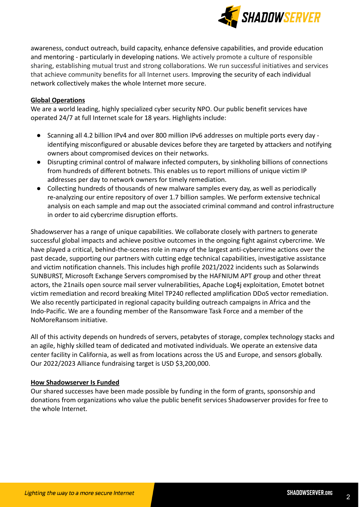

awareness, conduct outreach, build capacity, enhance defensive capabilities, and provide education and mentoring - particularly in developing nations. We actively promote a culture of responsible sharing, establishing mutual trust and strong collaborations. We run successful initiatives and services that achieve community benefits for all Internet users. Improving the security of each individual network collectively makes the whole Internet more secure.

# **Global Operations**

We are a world leading, highly specialized cyber security NPO. Our public benefit services have operated 24/7 at full Internet scale for 18 years. Highlights include:

- Scanning all 4.2 billion IPv4 and over 800 million IPv6 addresses on multiple ports every day identifying misconfigured or abusable devices before they are targeted by attackers and notifying owners about compromised devices on their networks.
- Disrupting criminal control of malware infected computers, by sinkholing billions of connections from hundreds of different botnets. This enables us to report millions of unique victim IP addresses per day to network owners for timely remediation.
- Collecting hundreds of thousands of new malware samples every day, as well as periodically re-analyzing our entire repository of over 1.7 billion samples. We perform extensive technical analysis on each sample and map out the associated criminal command and control infrastructure in order to aid cybercrime disruption efforts.

Shadowserver has a range of unique capabilities. We collaborate closely with partners to generate successful global impacts and achieve positive outcomes in the ongoing fight against cybercrime. We have played a critical, behind-the-scenes role in many of the largest anti-cybercrime actions over the past decade, supporting our partners with cutting edge technical capabilities, investigative assistance and victim notification channels. This includes high profile 2021/2022 incidents such as Solarwinds SUNBURST, Microsoft Exchange Servers compromised by the HAFNIUM APT group and other threat actors, the 21nails open source mail server vulnerabilities, Apache Log4j exploitation, Emotet botnet victim remediation and record breaking Mitel TP240 reflected amplification DDoS vector remediation. We also recently participated in regional capacity building outreach campaigns in Africa and the Indo-Pacific. We are a founding member of the Ransomware Task Force and a member of the NoMoreRansom initiative.

All of this activity depends on hundreds of servers, petabytes of storage, complex technology stacks and an agile, highly skilled team of dedicated and motivated individuals. We operate an extensive data center facility in California, as well as from locations across the US and Europe, and sensors globally. Our 2022/2023 Alliance fundraising target is USD \$3,200,000.

# **How Shadowserver Is Funded**

Our shared successes have been made possible by funding in the form of grants, sponsorship and donations from organizations who value the public benefit services Shadowserver provides for free to the whole Internet.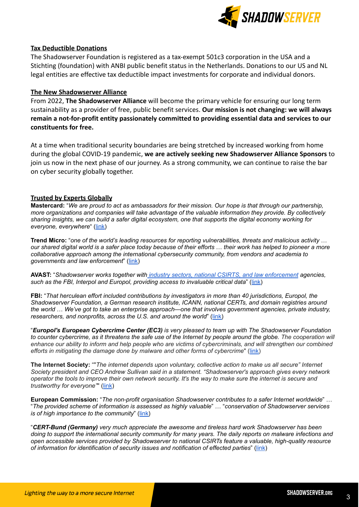

#### **Tax Deductible Donations**

The Shadowserver Foundation is registered as a tax-exempt 501c3 corporation in the USA and a Stichting (foundation) with ANBI public benefit status in the Netherlands. Donations to our US and NL legal entities are effective tax deductible impact investments for corporate and individual donors.

#### **The New Shadowserver Alliance**

From 2022, **The Shadowserver Alliance** will become the primary vehicle for ensuring our long term sustainability as a provider of free, public benefit services. **Our mission is not changing: we will always remain a not-for-profit entity passionately committed to providing essential data and services to our constituents for free.**

At a time when traditional security boundaries are being stretched by increased working from home during the global COVID-19 pandemic, **we are actively seeking new Shadowserver Alliance Sponsors** to join us now in the next phase of our journey. As a strong community, we can continue to raise the bar on cyber security globally together.

#### **Trusted by Experts Globally**

Mastercard: "We are proud to act as ambassadors for their mission. Our hope is that through our partnership, *more organizations and companies will take advantage of the valuable information they provide. By collectively* sharing insights, we can build a safer digital ecosystem, one that supports the digital economy working for *everyone, everywhere*" ([link\)](https://www.linkedin.com/pulse/protecting-digital-economy-shadowserver-foundation-simon-hunt/)

**Trend Micro:** "*one of the world's leading resources for reporting vulnerabilities, threats and malicious activity* … our shared digital world is a safer place today because of their efforts ... their work has helped to pioneer a more *collaborative approach among the international cybersecurity community, from vendors and academia to governments and law enforcement*" ([link\)](https://blog.trendmicro.com/securing-the-connected-world-with-support-for-the-shadowserver-foundation/)

**AVAST:** "*Shadowserver works together with industry sectors, national CSIRTS, and law [enforcement](https://www.shadowserver.org/who-we-serve/) agencies, such as the FBI, Interpol and Europol, providing access to invaluable critical data*" ([link\)](https://blog.avast.com/shadowserver-foundation-donation-avast)

**FBI:** "*That herculean effort included contributions by investigators in more than 40 jurisdictions, Europol, the Shadowserver Foundation, a German research institute, ICANN, national CERTs, and domain registries around the world* … *We've got to take an enterprise approach—one that involves government agencies, private industry, researchers, and nonprofits, across the U.S. and around the world*" ([link\)](https://www.fbi.gov/news/speeches/wray-remarks-wef-tackling-the-cyber-threat-as-a-global-community-111620)

"*Europol's European Cybercrime Center (EC3) is very pleased to team up with The Shadowserver Foundation* to counter cybercrime, as it threatens the safe use of the Internet by people around the globe. The cooperation will enhance our ability to inform and help people who are victims of cybercriminals, and will strengthen our combined *efforts in mitigating the damage done by malware and other forms of cybercrime*" ([link\)](https://www.europol.europa.eu/newsroom/news/shadowserver-foundation-steps-cooperation-europol-to-combat-cybercrime)

**The Internet Society:** ""*The internet depends upon voluntary, collective action to make us all secure" Internet Society president and CEO Andrew Sullivan said in a statement. "Shadowserver's approach gives every network* operator the tools to improve their own network security. It's the way to make sure the internet is secure and *trustworthy for everyone"*" [\(link](https://www.wired.com/story/shadowserver-funding-trend-micro-internet-society/))

**European Commission:** "*The non-profit organisation Shadowserver contributes to a safer Internet worldwide*" … "*The provided scheme of information is assessed as highly valuable*" … "*conservation of Shadowserver services is of high importance to the community*" ([link\)](https://www.europarl.europa.eu/doceo/document/E-9-2020-001658-ASW_EN.html)

"*CERT-Bund (Germany) very much appreciate the awesome and tireless hard work Shadowserver has been* doing to support the international security community for many years. The daily reports on malware infections and *open accessible services provided by Shadowserver to national CSIRTs feature a valuable, high-quality resource of information for identification of security issues and notification of effected parties*" [\(link](https://www.shadowserver.org/who-we-are/))